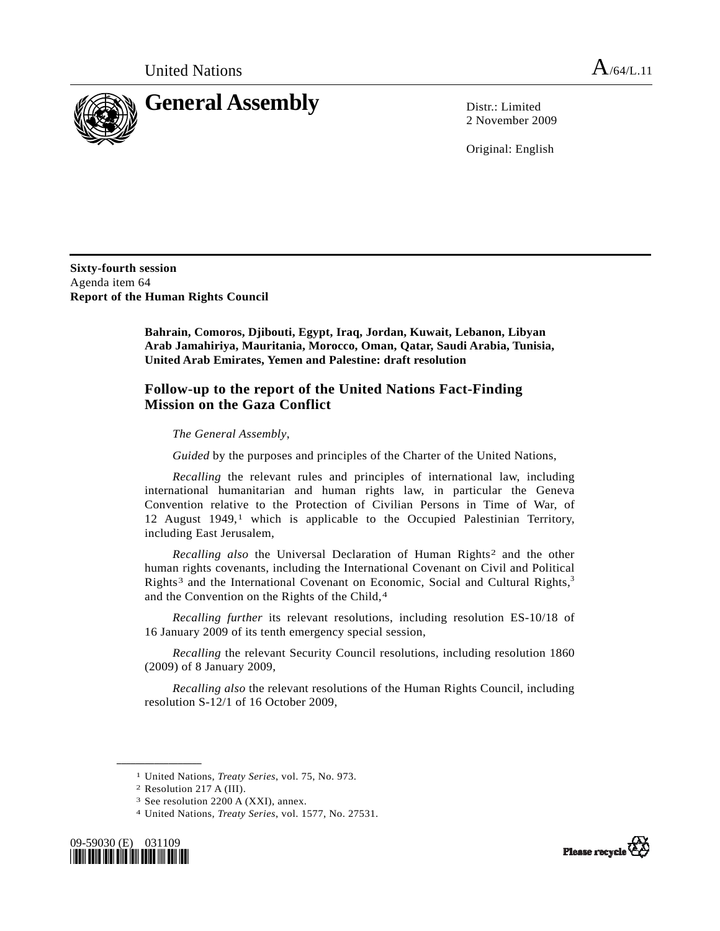<span id="page-0-3"></span>

2 November 2009

Original: English

**Sixty-fourth session**  Agenda item 64 **Report of the Human Rights Council** 

> **Bahrain, Comoros, Djibouti, Egypt, Iraq, Jordan, Kuwait, Lebanon, Libyan Arab Jamahiriya, Mauritania, Morocco, Oman, Qatar, Saudi Arabia, Tunisia, United Arab Emirates, Yemen and Palestine: draft resolution**

## **Follow-up to the report of the United Nations Fact-Finding Mission on the Gaza Conflict**

*The General Assembly*,

*Guided* by the purposes and principles of the Charter of the United Nations,

*Recalling* the relevant rules and principles of international law, including international humanitarian and human rights law, in particular the Geneva Convention relative to the Protection of Civilian Persons in Time of War, of 12 August  $1949$ ,<sup>1</sup> which is applicable to the Occupied Palestinian Territory, including East Jerusalem,

*Recalling also* the Universal Declaration of Human Rights[2](#page-0-1) and the other human rights covenants, including the International Covenant on Civil and Political Rights<sup>3</sup> and the International Covenant on Economic, Social and Cultural Rights,<sup>3</sup> and the Convention on the Rights of the Child,[4](#page-0-4)

*Recalling further* its relevant resolutions, including resolution ES-10/18 of 16 January 2009 of its tenth emergency special session,

*Recalling* the relevant Security Council resolutions, including resolution 1860 (2009) of 8 January 2009,

*Recalling also* the relevant resolutions of the Human Rights Council, including resolution S-12/1 of 16 October 2009,

**\_\_\_\_\_\_\_\_\_\_\_\_\_\_\_\_\_\_** 

<span id="page-0-4"></span><span id="page-0-2"></span><span id="page-0-1"></span><span id="page-0-0"></span><sup>4</sup> United Nations, *Treaty Series*, vol. 1577, No. 27531.





<sup>1</sup> United Nations, *Treaty Series*, vol. 75, No. 973. 2 Resolution 217 A (III).

<sup>3</sup> See resolution 2200 A (XXI), annex.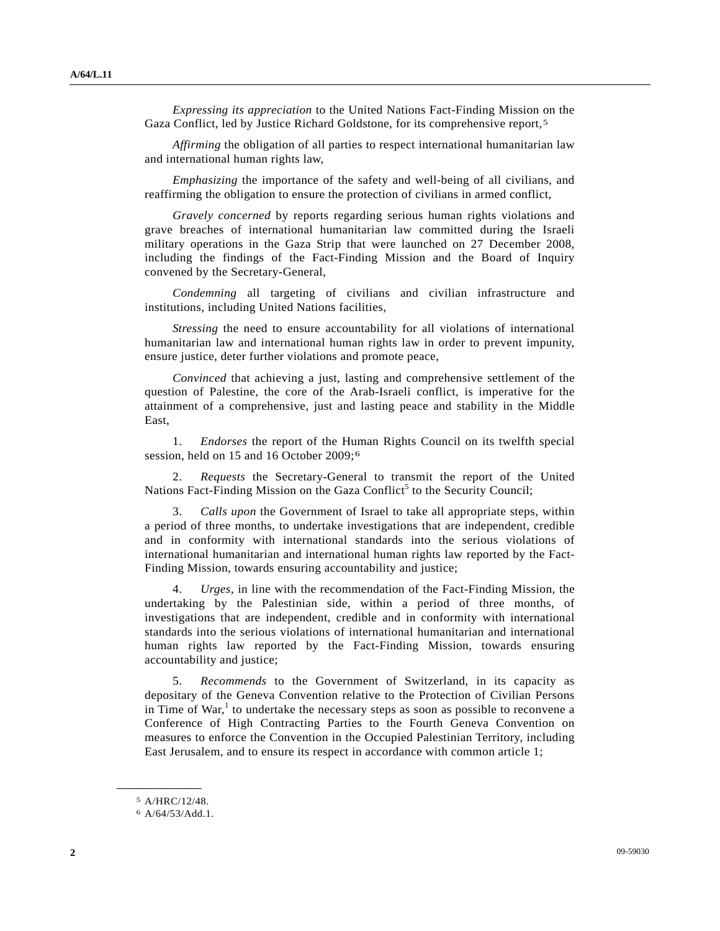<span id="page-1-2"></span>*Expressing its appreciation* to the United Nations Fact-Finding Mission on the Gaza Conflict, led by Justice Richard Goldstone, for its comprehensive report,[5](#page-1-0)

*Affirming* the obligation of all parties to respect international humanitarian law and international human rights law,

*Emphasizing* the importance of the safety and well-being of all civilians, and reaffirming the obligation to ensure the protection of civilians in armed conflict,

*Gravely concerned* by reports regarding serious human rights violations and grave breaches of international humanitarian law committed during the Israeli military operations in the Gaza Strip that were launched on 27 December 2008, including the findings of the Fact-Finding Mission and the Board of Inquiry convened by the Secretary-General,

*Condemning* all targeting of civilians and civilian infrastructure and institutions, including United Nations facilities,

*Stressing* the need to ensure accountability for all violations of international humanitarian law and international human rights law in order to prevent impunity, ensure justice, deter further violations and promote peace,

*Convinced* that achieving a just, lasting and comprehensive settlement of the question of Palestine, the core of the Arab-Israeli conflict, is imperative for the attainment of a comprehensive, just and lasting peace and stability in the Middle East,

 1. *Endorses* the report of the Human Rights Council on its twelfth special session, held on 15 and 16 October 2009;[6](#page-1-1)

 2. *Requests* the Secretary-General to transmit the report of the United Nations Fact-Finding Mission on the Gaza Conflict<sup>[5](#page-1-2)</sup> to the Security Council;

 3. *Calls upon* the Government of Israel to take all appropriate steps, within a period of three months, to undertake investigations that are independent, credible and in conformity with international standards into the serious violations of international humanitarian and international human rights law reported by the Fact-Finding Mission, towards ensuring accountability and justice;

 4. *Urges*, in line with the recommendation of the Fact-Finding Mission, the undertaking by the Palestinian side, within a period of three months, of investigations that are independent, credible and in conformity with international standards into the serious violations of international humanitarian and international human rights law reported by the Fact-Finding Mission, towards ensuring accountability and justice;

 5. *Recommends* to the Government of Switzerland, in its capacity as depositary of the Geneva Convention relative to the Protection of Civilian Persons in Time of  $War<sup>1</sup>$  $War<sup>1</sup>$  $War<sup>1</sup>$  to undertake the necessary steps as soon as possible to reconvene a Conference of High Contracting Parties to the Fourth Geneva Convention on measures to enforce the Convention in the Occupied Palestinian Territory, including East Jerusalem, and to ensure its respect in accordance with common article 1;

<span id="page-1-1"></span><span id="page-1-0"></span>**\_\_\_\_\_\_\_\_\_\_\_\_\_\_\_\_\_\_** 

<sup>5</sup> A/HRC/12/48.

<sup>6</sup> A/64/53/Add.1.